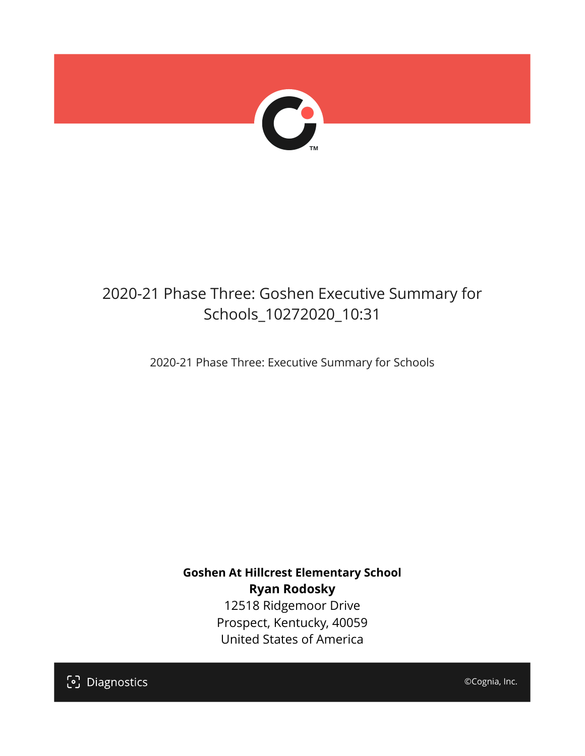

## 2020-21 Phase Three: Goshen Executive Summary for Schools\_10272020\_10:31

2020-21 Phase Three: Executive Summary for Schools

**Goshen At Hillcrest Elementary School Ryan Rodosky** 12518 Ridgemoor Drive Prospect, Kentucky, 40059 United States of America

[၁] Diagnostics

©Cognia, Inc.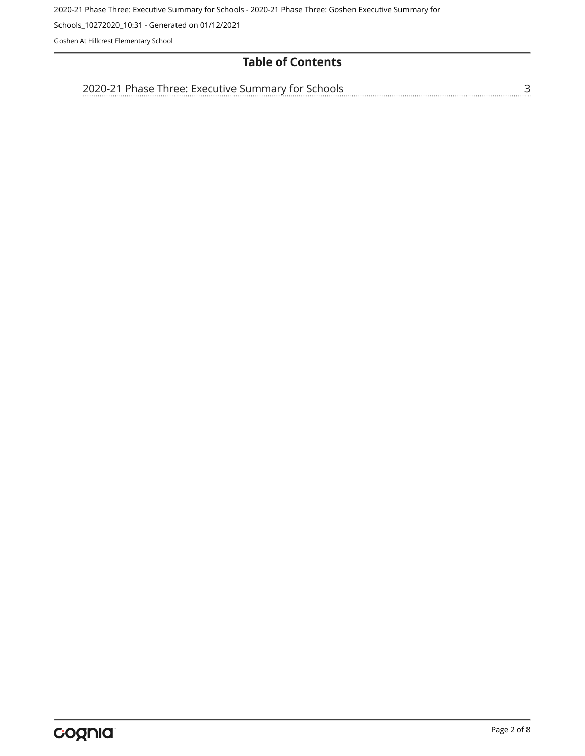Schools\_10272020\_10:31 - Generated on 01/12/2021

Goshen At Hillcrest Elementary School

## **Table of Contents**

| 'hree'<br>╰╮┢┙<br>. | -Summary '<br><b>FXAC'</b><br>avitive.<br>∕ tor∶ | `` |  |
|---------------------|--------------------------------------------------|----|--|
|                     |                                                  |    |  |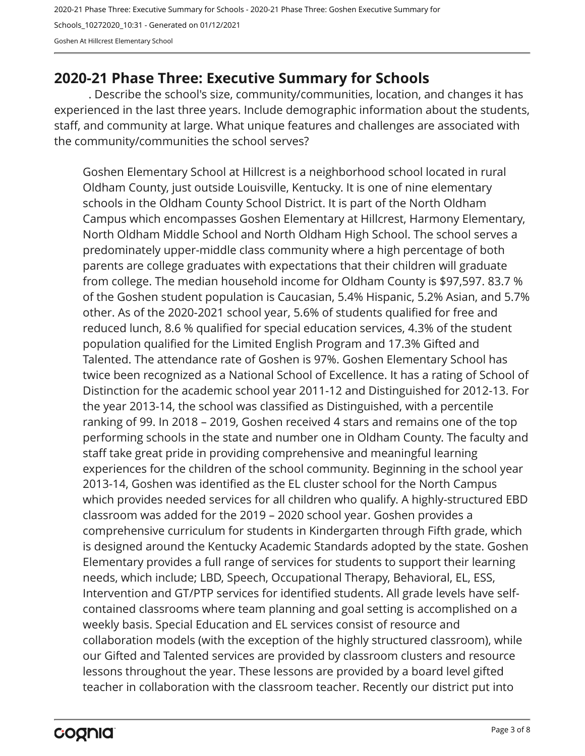2020-21 Phase Three: Executive Summary for Schools - 2020-21 Phase Three: Goshen Executive Summary for Schools\_10272020\_10:31 - Generated on 01/12/2021 Goshen At Hillcrest Elementary School

## <span id="page-2-0"></span>**2020-21 Phase Three: Executive Summary for Schools**

. Describe the school's size, community/communities, location, and changes it has experienced in the last three years. Include demographic information about the students, staff, and community at large. What unique features and challenges are associated with the community/communities the school serves?

Goshen Elementary School at Hillcrest is a neighborhood school located in rural Oldham County, just outside Louisville, Kentucky. It is one of nine elementary schools in the Oldham County School District. It is part of the North Oldham Campus which encompasses Goshen Elementary at Hillcrest, Harmony Elementary, North Oldham Middle School and North Oldham High School. The school serves a predominately upper-middle class community where a high percentage of both parents are college graduates with expectations that their children will graduate from college. The median household income for Oldham County is \$97,597. 83.7 % of the Goshen student population is Caucasian, 5.4% Hispanic, 5.2% Asian, and 5.7% other. As of the 2020-2021 school year, 5.6% of students qualified for free and reduced lunch, 8.6 % qualified for special education services, 4.3% of the student population qualified for the Limited English Program and 17.3% Gifted and Talented. The attendance rate of Goshen is 97%. Goshen Elementary School has twice been recognized as a National School of Excellence. It has a rating of School of Distinction for the academic school year 2011-12 and Distinguished for 2012-13. For the year 2013-14, the school was classified as Distinguished, with a percentile ranking of 99. In 2018 – 2019, Goshen received 4 stars and remains one of the top performing schools in the state and number one in Oldham County. The faculty and staff take great pride in providing comprehensive and meaningful learning experiences for the children of the school community. Beginning in the school year 2013-14, Goshen was identified as the EL cluster school for the North Campus which provides needed services for all children who qualify. A highly-structured EBD classroom was added for the 2019 – 2020 school year. Goshen provides a comprehensive curriculum for students in Kindergarten through Fifth grade, which is designed around the Kentucky Academic Standards adopted by the state. Goshen Elementary provides a full range of services for students to support their learning needs, which include; LBD, Speech, Occupational Therapy, Behavioral, EL, ESS, Intervention and GT/PTP services for identified students. All grade levels have selfcontained classrooms where team planning and goal setting is accomplished on a weekly basis. Special Education and EL services consist of resource and collaboration models (with the exception of the highly structured classroom), while our Gifted and Talented services are provided by classroom clusters and resource lessons throughout the year. These lessons are provided by a board level gifted teacher in collaboration with the classroom teacher. Recently our district put into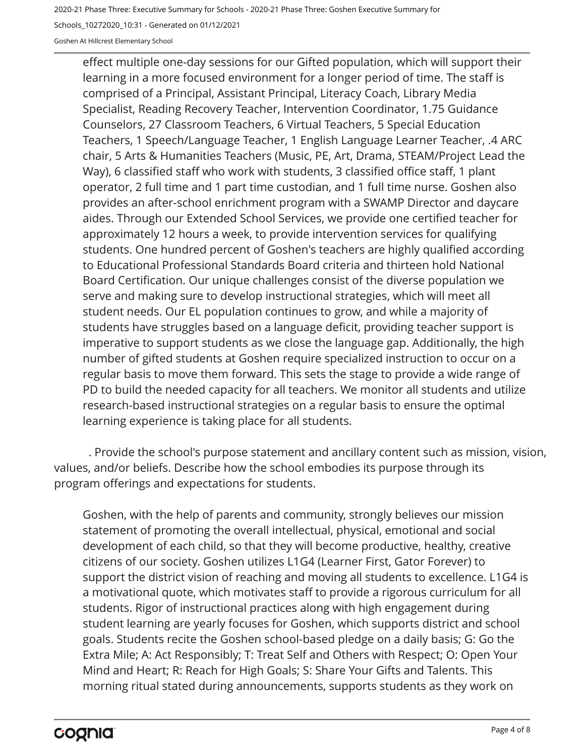Schools\_10272020\_10:31 - Generated on 01/12/2021

Goshen At Hillcrest Elementary School

effect multiple one-day sessions for our Gifted population, which will support their learning in a more focused environment for a longer period of time. The staff is comprised of a Principal, Assistant Principal, Literacy Coach, Library Media Specialist, Reading Recovery Teacher, Intervention Coordinator, 1.75 Guidance Counselors, 27 Classroom Teachers, 6 Virtual Teachers, 5 Special Education Teachers, 1 Speech/Language Teacher, 1 English Language Learner Teacher, .4 ARC chair, 5 Arts & Humanities Teachers (Music, PE, Art, Drama, STEAM/Project Lead the Way), 6 classified staff who work with students, 3 classified office staff, 1 plant operator, 2 full time and 1 part time custodian, and 1 full time nurse. Goshen also provides an after-school enrichment program with a SWAMP Director and daycare aides. Through our Extended School Services, we provide one certified teacher for approximately 12 hours a week, to provide intervention services for qualifying students. One hundred percent of Goshen's teachers are highly qualified according to Educational Professional Standards Board criteria and thirteen hold National Board Certification. Our unique challenges consist of the diverse population we serve and making sure to develop instructional strategies, which will meet all student needs. Our EL population continues to grow, and while a majority of students have struggles based on a language deficit, providing teacher support is imperative to support students as we close the language gap. Additionally, the high number of gifted students at Goshen require specialized instruction to occur on a regular basis to move them forward. This sets the stage to provide a wide range of PD to build the needed capacity for all teachers. We monitor all students and utilize research-based instructional strategies on a regular basis to ensure the optimal learning experience is taking place for all students.

. Provide the school's purpose statement and ancillary content such as mission, vision, values, and/or beliefs. Describe how the school embodies its purpose through its program offerings and expectations for students.

Goshen, with the help of parents and community, strongly believes our mission statement of promoting the overall intellectual, physical, emotional and social development of each child, so that they will become productive, healthy, creative citizens of our society. Goshen utilizes L1G4 (Learner First, Gator Forever) to support the district vision of reaching and moving all students to excellence. L1G4 is a motivational quote, which motivates staff to provide a rigorous curriculum for all students. Rigor of instructional practices along with high engagement during student learning are yearly focuses for Goshen, which supports district and school goals. Students recite the Goshen school-based pledge on a daily basis; G: Go the Extra Mile; A: Act Responsibly; T: Treat Self and Others with Respect; O: Open Your Mind and Heart; R: Reach for High Goals; S: Share Your Gifts and Talents. This morning ritual stated during announcements, supports students as they work on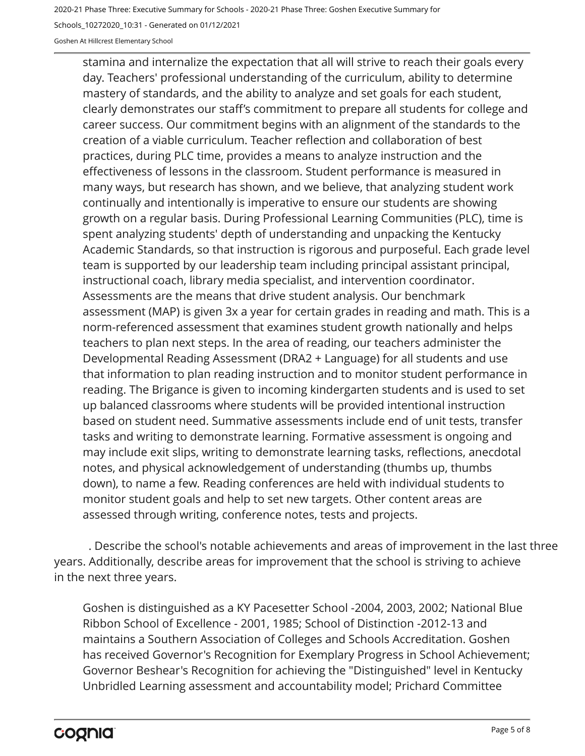Schools\_10272020\_10:31 - Generated on 01/12/2021

Goshen At Hillcrest Elementary School

stamina and internalize the expectation that all will strive to reach their goals every day. Teachers' professional understanding of the curriculum, ability to determine mastery of standards, and the ability to analyze and set goals for each student, clearly demonstrates our staff's commitment to prepare all students for college and career success. Our commitment begins with an alignment of the standards to the creation of a viable curriculum. Teacher reflection and collaboration of best practices, during PLC time, provides a means to analyze instruction and the effectiveness of lessons in the classroom. Student performance is measured in many ways, but research has shown, and we believe, that analyzing student work continually and intentionally is imperative to ensure our students are showing growth on a regular basis. During Professional Learning Communities (PLC), time is spent analyzing students' depth of understanding and unpacking the Kentucky Academic Standards, so that instruction is rigorous and purposeful. Each grade level team is supported by our leadership team including principal assistant principal, instructional coach, library media specialist, and intervention coordinator. Assessments are the means that drive student analysis. Our benchmark assessment (MAP) is given 3x a year for certain grades in reading and math. This is a norm-referenced assessment that examines student growth nationally and helps teachers to plan next steps. In the area of reading, our teachers administer the Developmental Reading Assessment (DRA2 + Language) for all students and use that information to plan reading instruction and to monitor student performance in reading. The Brigance is given to incoming kindergarten students and is used to set up balanced classrooms where students will be provided intentional instruction based on student need. Summative assessments include end of unit tests, transfer tasks and writing to demonstrate learning. Formative assessment is ongoing and may include exit slips, writing to demonstrate learning tasks, reflections, anecdotal notes, and physical acknowledgement of understanding (thumbs up, thumbs down), to name a few. Reading conferences are held with individual students to monitor student goals and help to set new targets. Other content areas are assessed through writing, conference notes, tests and projects.

. Describe the school's notable achievements and areas of improvement in the last three years. Additionally, describe areas for improvement that the school is striving to achieve in the next three years.

Goshen is distinguished as a KY Pacesetter School -2004, 2003, 2002; National Blue Ribbon School of Excellence - 2001, 1985; School of Distinction -2012-13 and maintains a Southern Association of Colleges and Schools Accreditation. Goshen has received Governor's Recognition for Exemplary Progress in School Achievement; Governor Beshear's Recognition for achieving the "Distinguished" level in Kentucky Unbridled Learning assessment and accountability model; Prichard Committee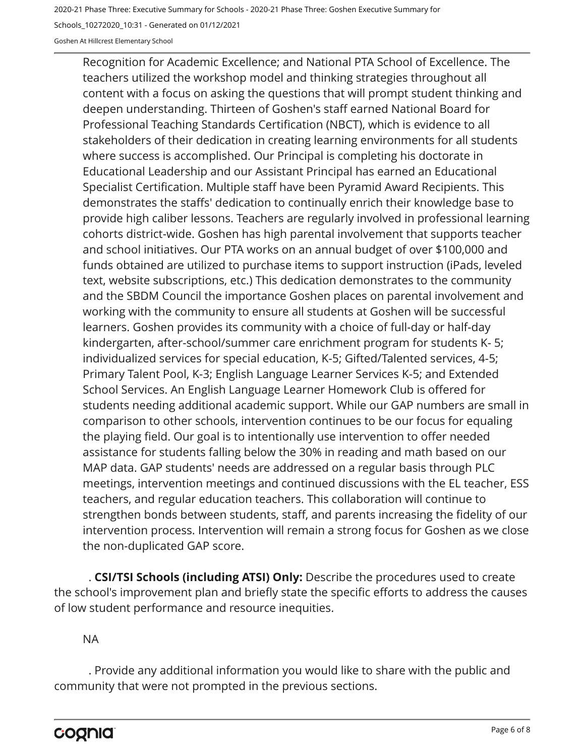Schools\_10272020\_10:31 - Generated on 01/12/2021

Goshen At Hillcrest Elementary School

Recognition for Academic Excellence; and National PTA School of Excellence. The teachers utilized the workshop model and thinking strategies throughout all content with a focus on asking the questions that will prompt student thinking and deepen understanding. Thirteen of Goshen's staff earned National Board for Professional Teaching Standards Certification (NBCT), which is evidence to all stakeholders of their dedication in creating learning environments for all students where success is accomplished. Our Principal is completing his doctorate in Educational Leadership and our Assistant Principal has earned an Educational Specialist Certification. Multiple staff have been Pyramid Award Recipients. This demonstrates the staffs' dedication to continually enrich their knowledge base to provide high caliber lessons. Teachers are regularly involved in professional learning cohorts district-wide. Goshen has high parental involvement that supports teacher and school initiatives. Our PTA works on an annual budget of over \$100,000 and funds obtained are utilized to purchase items to support instruction (iPads, leveled text, website subscriptions, etc.) This dedication demonstrates to the community and the SBDM Council the importance Goshen places on parental involvement and working with the community to ensure all students at Goshen will be successful learners. Goshen provides its community with a choice of full-day or half-day kindergarten, after-school/summer care enrichment program for students K- 5; individualized services for special education, K-5; Gifted/Talented services, 4-5; Primary Talent Pool, K-3; English Language Learner Services K-5; and Extended School Services. An English Language Learner Homework Club is offered for students needing additional academic support. While our GAP numbers are small in comparison to other schools, intervention continues to be our focus for equaling the playing field. Our goal is to intentionally use intervention to offer needed assistance for students falling below the 30% in reading and math based on our MAP data. GAP students' needs are addressed on a regular basis through PLC meetings, intervention meetings and continued discussions with the EL teacher, ESS teachers, and regular education teachers. This collaboration will continue to strengthen bonds between students, staff, and parents increasing the fidelity of our intervention process. Intervention will remain a strong focus for Goshen as we close the non-duplicated GAP score.

. **CSI/TSI Schools (including ATSI) Only:** Describe the procedures used to create the school's improvement plan and briefly state the specific efforts to address the causes of low student performance and resource inequities.

NA

. Provide any additional information you would like to share with the public and community that were not prompted in the previous sections.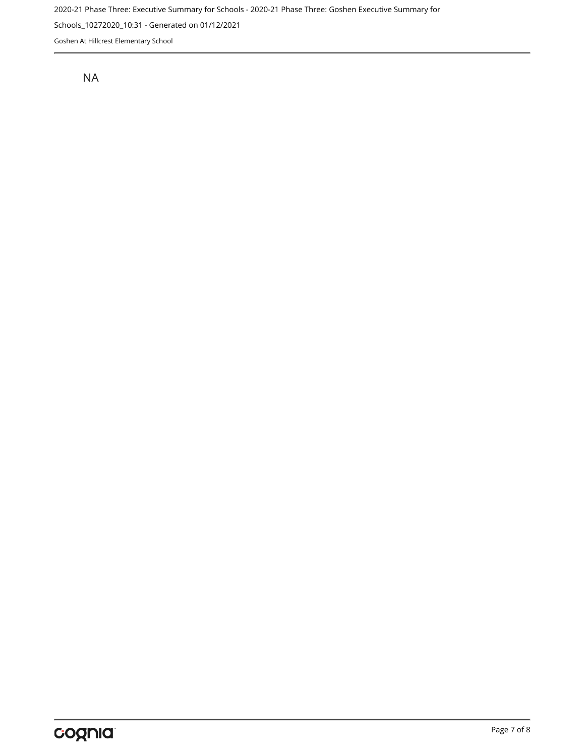Schools\_10272020\_10:31 - Generated on 01/12/2021

Goshen At Hillcrest Elementary School

NA